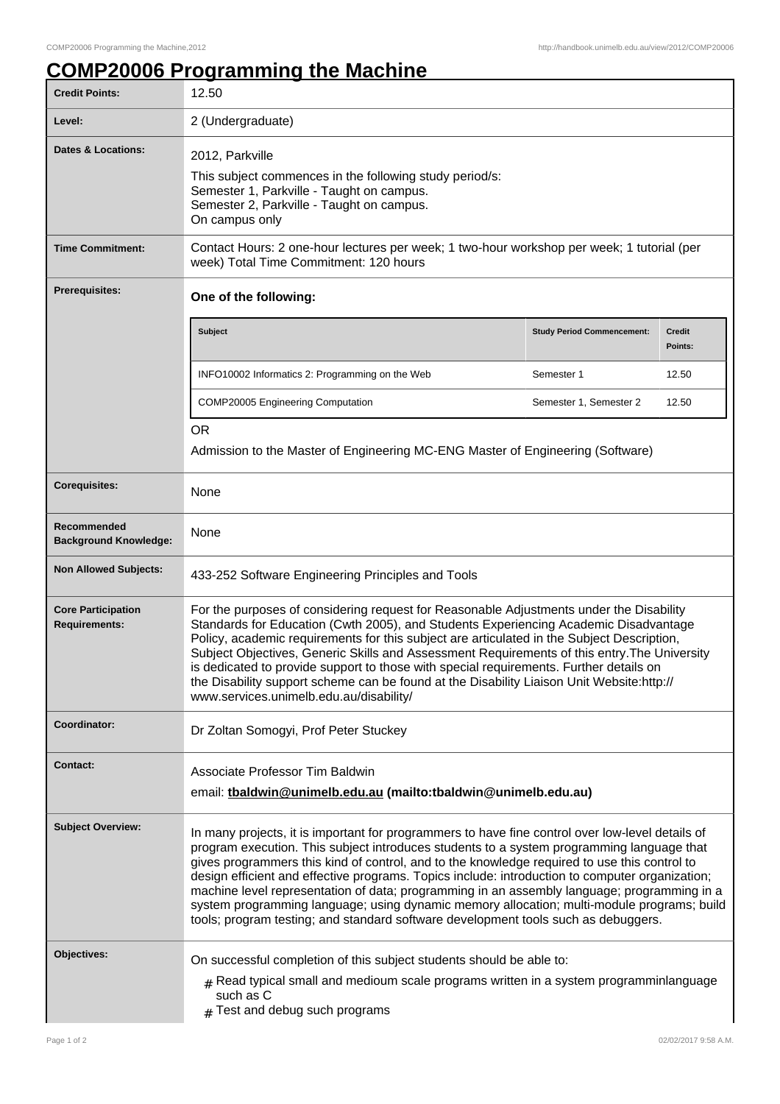## **COMP20006 Programming the Machine**

| <b>Credit Points:</b>                             | 12.50                                                                                                                                                                                                                                                                                                                                                                                                                                                                                                                                                                                                                                                                               |                                   |                          |
|---------------------------------------------------|-------------------------------------------------------------------------------------------------------------------------------------------------------------------------------------------------------------------------------------------------------------------------------------------------------------------------------------------------------------------------------------------------------------------------------------------------------------------------------------------------------------------------------------------------------------------------------------------------------------------------------------------------------------------------------------|-----------------------------------|--------------------------|
| Level:                                            | 2 (Undergraduate)                                                                                                                                                                                                                                                                                                                                                                                                                                                                                                                                                                                                                                                                   |                                   |                          |
| <b>Dates &amp; Locations:</b>                     | 2012, Parkville<br>This subject commences in the following study period/s:<br>Semester 1, Parkville - Taught on campus.<br>Semester 2, Parkville - Taught on campus.<br>On campus only                                                                                                                                                                                                                                                                                                                                                                                                                                                                                              |                                   |                          |
| <b>Time Commitment:</b>                           | Contact Hours: 2 one-hour lectures per week; 1 two-hour workshop per week; 1 tutorial (per<br>week) Total Time Commitment: 120 hours                                                                                                                                                                                                                                                                                                                                                                                                                                                                                                                                                |                                   |                          |
| Prerequisites:                                    | One of the following:                                                                                                                                                                                                                                                                                                                                                                                                                                                                                                                                                                                                                                                               |                                   |                          |
|                                                   | Subject                                                                                                                                                                                                                                                                                                                                                                                                                                                                                                                                                                                                                                                                             | <b>Study Period Commencement:</b> | <b>Credit</b><br>Points: |
|                                                   | INFO10002 Informatics 2: Programming on the Web                                                                                                                                                                                                                                                                                                                                                                                                                                                                                                                                                                                                                                     | Semester 1                        | 12.50                    |
|                                                   | <b>COMP20005 Engineering Computation</b>                                                                                                                                                                                                                                                                                                                                                                                                                                                                                                                                                                                                                                            | Semester 1, Semester 2            | 12.50                    |
|                                                   | <b>OR</b><br>Admission to the Master of Engineering MC-ENG Master of Engineering (Software)                                                                                                                                                                                                                                                                                                                                                                                                                                                                                                                                                                                         |                                   |                          |
| <b>Corequisites:</b>                              | None                                                                                                                                                                                                                                                                                                                                                                                                                                                                                                                                                                                                                                                                                |                                   |                          |
| Recommended<br><b>Background Knowledge:</b>       | None                                                                                                                                                                                                                                                                                                                                                                                                                                                                                                                                                                                                                                                                                |                                   |                          |
| <b>Non Allowed Subjects:</b>                      | 433-252 Software Engineering Principles and Tools                                                                                                                                                                                                                                                                                                                                                                                                                                                                                                                                                                                                                                   |                                   |                          |
| <b>Core Participation</b><br><b>Requirements:</b> | For the purposes of considering request for Reasonable Adjustments under the Disability<br>Standards for Education (Cwth 2005), and Students Experiencing Academic Disadvantage<br>Policy, academic requirements for this subject are articulated in the Subject Description,<br>Subject Objectives, Generic Skills and Assessment Requirements of this entry. The University<br>is dedicated to provide support to those with special requirements. Further details on<br>the Disability support scheme can be found at the Disability Liaison Unit Website:http://<br>www.services.unimelb.edu.au/disability/                                                                     |                                   |                          |
| Coordinator:                                      | Dr Zoltan Somogyi, Prof Peter Stuckey                                                                                                                                                                                                                                                                                                                                                                                                                                                                                                                                                                                                                                               |                                   |                          |
| <b>Contact:</b>                                   | Associate Professor Tim Baldwin<br>email: thaldwin@unimelb.edu.au (mailto:tbaldwin@unimelb.edu.au)                                                                                                                                                                                                                                                                                                                                                                                                                                                                                                                                                                                  |                                   |                          |
| <b>Subject Overview:</b>                          | In many projects, it is important for programmers to have fine control over low-level details of<br>program execution. This subject introduces students to a system programming language that<br>gives programmers this kind of control, and to the knowledge required to use this control to<br>design efficient and effective programs. Topics include: introduction to computer organization;<br>machine level representation of data; programming in an assembly language; programming in a<br>system programming language; using dynamic memory allocation; multi-module programs; build<br>tools; program testing; and standard software development tools such as debuggers. |                                   |                          |
| <b>Objectives:</b>                                | On successful completion of this subject students should be able to:<br>$#$ Read typical small and medioum scale programs written in a system programminlanguage<br>such as C<br>Test and debug such programs                                                                                                                                                                                                                                                                                                                                                                                                                                                                       |                                   |                          |